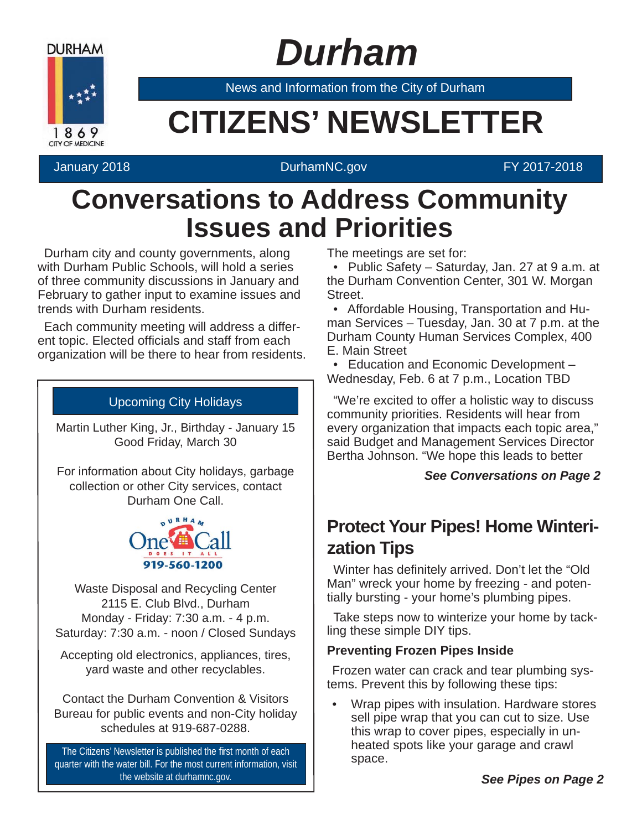

# *Durham*

News and Information from the City of Durham

# **Example 20 CITIZENS' NEWSLETTER**

### January 2018 DurhamNC.gov FY 2017-2018

### **Conversations to Address Community Issues and Priorities**

Durham city and county governments, along with Durham Public Schools, will hold a series of three community discussions in January and February to gather input to examine issues and trends with Durham residents.

Each community meeting will address a different topic. Elected officials and staff from each organization will be there to hear from residents.

### Upcoming City Holidays

Martin Luther King, Jr., Birthday - January 15 Good Friday, March 30

For information about City holidays, garbage collection or other City services, contact Durham One Call.



Waste Disposal and Recycling Center 2115 E. Club Blvd., Durham Monday - Friday: 7:30 a.m. - 4 p.m. Saturday: 7:30 a.m. - noon / Closed Sundays

Accepting old electronics, appliances, tires, yard waste and other recyclables.

Contact the Durham Convention & Visitors Bureau for public events and non-City holiday schedules at 919-687-0288.

The Citizens' Newsletter is published the first month of each quarter with the water bill. For the most current information, visit the website at durhamnc.gov.

The meetings are set for:

• Public Safety – Saturday, Jan. 27 at 9 a.m. at the Durham Convention Center, 301 W. Morgan Street.

• Affordable Housing, Transportation and Human Services – Tuesday, Jan. 30 at 7 p.m. at the Durham County Human Services Complex, 400 E. Main Street

• Education and Economic Development – Wednesday, Feb. 6 at 7 p.m., Location TBD

"We're excited to offer a holistic way to discuss community priorities. Residents will hear from every organization that impacts each topic area," said Budget and Management Services Director Bertha Johnson. "We hope this leads to better

### *See Conversations on Page 2*

### **Protect Your Pipes! Home Winterization Tips**

Winter has definitely arrived. Don't let the "Old" Man" wreck your home by freezing - and potentially bursting - your home's plumbing pipes.

Take steps now to winterize your home by tackling these simple DIY tips.

### **Preventing Frozen Pipes Inside**

Frozen water can crack and tear plumbing systems. Prevent this by following these tips:

• Wrap pipes with insulation. Hardware stores sell pipe wrap that you can cut to size. Use this wrap to cover pipes, especially in unheated spots like your garage and crawl space.